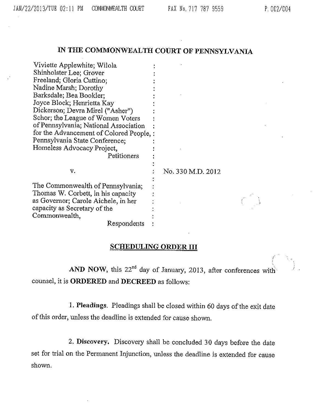## IN THE COMMONWEALTH COURT OF PENNSYLVANIA

Viviette Applewhite; Wilola ŧ Shinholster Lee; Grover Freeland; Gloria Cuttino; Nadine Marsh; Dorothy Barksdale; Bea Bookler; Joyce Block; Henrietta Kay Dickerson; Devra Mirel ("Asher") Schor; the League of Women Voters of Pennsylvania; National Association : for the Advancement of Colored People, : Pennsylvania State Conference; Homeless Advocacy Project, Petitioners v.  $\qquad \qquad$  : No. 330 M.D. 2012 The Commonwealth of Pennsylvania; Thomas W. Corbett, in his capacity as Governor; Carole Aichele, in her capacity as Secretary of the Commonwealth,

Respondents

## SCHEDULING ORDER III

AND NOW, this 22<sup>nd</sup> day of January, 2013, after conferences with counsel, it is ORDERED and DECREED as follows:

1. Pleadings. Pleadings shall be closed within 60 days of the exit date of this order, unless the deadline is extended for cause shown.

2. Discovery. Discovery shall be concluded 30 days before the date set for trial on the Permanent Injunction, unless the deadline is extended for cause shown.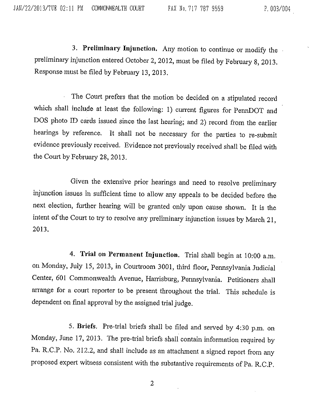3. Preliminary Injunction. Any motion to continue or modify the preliminary injunction entered October 2, 2012, must be filed by February 8, 2013. Response must be filed by February 13, 2013.

The Court prefers that the motion be decided on a stipulated record which shall include at least the following: 1) current figures for PennDOT and DOS photo ID cards issued since the last hearing; and 2) record from the earlier hearings by reference. It shall not be necessary for the parties to re-submit evidence previously received. Evidence not previously received shall be filed with the Court by February 28, 2013.

Given the extensive prior hearings and need to resolve preliminary injunction issues in sufficient time to allow any appeals to be decided before the next election, further hearing will be granted only upon cause shown. It is the intent of the Court to try to resolve any preliminary injunction issues by March 21, 2013.

4. Trial on Permanent Injunction. Trial shall begin at 10:00 a.m. on Monday, July 15, 2013, in Courtroom 3001, third floor, Pennsylvania Judicial Center, 601 Commonwealth Avenue, Harrisburg, Pennsylvania. Petitioners shall arrange for a court reporter to be present throughout the trial. This schedule is dependent on final approval by the assigned trial judge.

5. Briefs. Pre-trial briefs shall be filed and served by 4:30 p.m. on Monday, June 17, 2013. The pre-trial briefs shall contain information required by Pa. R.C.P. No. 212.2, and shall include as an attachment a signed report from any proposed expert witness consistent with the substantive requirements of Pa. R.C.P.

2